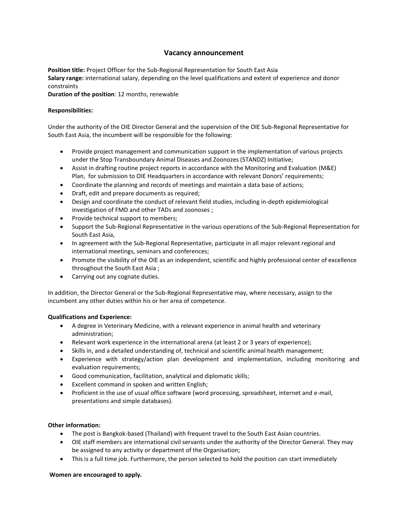# **Vacancy announcement**

**Position title:** Project Officer for the Sub-Regional Representation for South East Asia **Salary range:** international salary, depending on the level qualifications and extent of experience and donor constraints

**Duration of the position**: 12 months, renewable

### **Responsibilities:**

Under the authority of the OIE Director General and the supervision of the OIE Sub-Regional Representative for South East Asia, the incumbent will be responsible for the following:

- Provide project management and communication support in the implementation of various projects under the Stop Transboundary Animal Diseases and Zoonozes (STANDZ) Initiative;
- Assist in drafting routine project reports in accordance with the Monitoring and Evaluation (M&E) Plan, for submission to OIE Headquarters in accordance with relevant Donors' requirements;
- Coordinate the planning and records of meetings and maintain a data base of actions;
- Draft, edit and prepare documents as required;
- Design and coordinate the conduct of relevant field studies, including in-depth epidemiological investigation of FMD and other TADs and zoonoses ;
- Provide technical support to members;
- Support the Sub-Regional Representative in the various operations of the Sub-Regional Representation for South East Asia,
- In agreement with the Sub-Regional Representative, participate in all major relevant regional and international meetings, seminars and conferences;
- Promote the visibility of the OIE as an independent, scientific and highly professional center of excellence throughout the South East Asia ;
- Carrying out any cognate duties.

In addition, the Director General or the Sub-Regional Representative may, where necessary, assign to the incumbent any other duties within his or her area of competence.

## **Qualifications and Experience:**

- A degree in Veterinary Medicine, with a relevant experience in animal health and veterinary administration;
- Relevant work experience in the international arena (at least 2 or 3 years of experience);
- Skills in, and a detailed understanding of, technical and scientific animal health management;
- Experience with strategy/action plan development and implementation, including monitoring and evaluation requirements;
- Good communication, facilitation, analytical and diplomatic skills;
- Excellent command in spoken and written English;
- Proficient in the use of usual office software (word processing, spreadsheet, internet and e-mail, presentations and simple databases).

## **Other information:**

- The post is Bangkok-based (Thailand) with frequent travel to the South East Asian countries.
- OIE staff members are international civil servants under the authority of the Director General. They may be assigned to any activity or department of the Organisation;
- This is a full time job. Furthermore, the person selected to hold the position can start immediately

## **Women are encouraged to apply.**